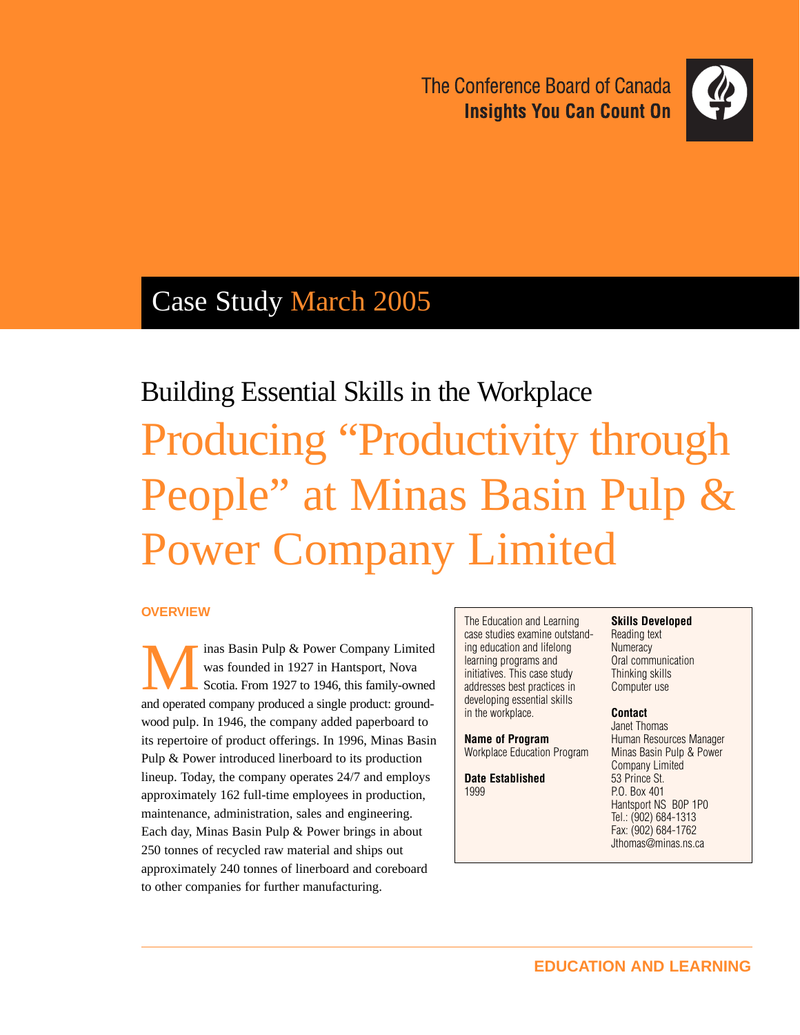The Conference Board of Canada **Insights You Can Count On** 



## Case Study March 2005

# Building Essential Skills in the Workplace Producing "Productivity through People" at Minas Basin Pulp & Power Company Limited

#### **OVERVIEW**

Minas Basin Pulp & Power Company Limited<br>was founded in 1927 in Hantsport, Nova<br>and operated company produced a single product: ground was founded in 1927 in Hantsport, Nova Scotia. From 1927 to 1946, this family-owned and operated company produced a single product: groundwood pulp. In 1946, the company added paperboard to its repertoire of product offerings. In 1996, Minas Basin Pulp & Power introduced linerboard to its production lineup. Today, the company operates 24/7 and employs approximately 162 full-time employees in production, maintenance, administration, sales and engineering. Each day, Minas Basin Pulp & Power brings in about 250 tonnes of recycled raw material and ships out approximately 240 tonnes of linerboard and coreboard to other companies for further manufacturing.

The Education and Learning case studies examine outstanding education and lifelong learning programs and initiatives. This case study addresses best practices in developing essential skills in the workplace.

**Name of Program** Workplace Education Program

**Date Established** 1999

#### **Skills Developed**

Reading text **Numeracy** Oral communication Thinking skills Computer use

#### **Contact**

Janet Thomas Human Resources Manager Minas Basin Pulp & Power Company Limited 53 Prince St. P.O. Box 401 Hantsport NS B0P 1P0 Tel.: (902) 684-1313 Fax: (902) 684-1762 Jthomas@minas.ns.ca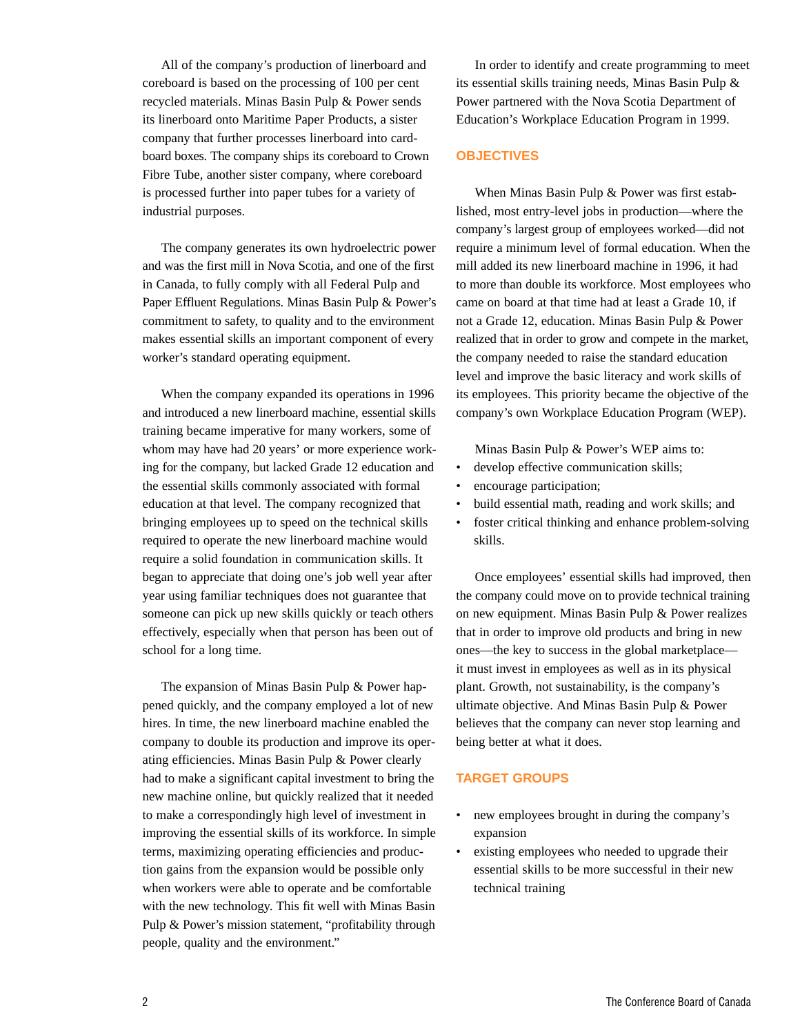All of the company's production of linerboard and coreboard is based on the processing of 100 per cent recycled materials. Minas Basin Pulp & Power sends its linerboard onto Maritime Paper Products, a sister company that further processes linerboard into cardboard boxes. The company ships its coreboard to Crown Fibre Tube, another sister company, where coreboard is processed further into paper tubes for a variety of industrial purposes.

The company generates its own hydroelectric power and was the first mill in Nova Scotia, and one of the first in Canada, to fully comply with all Federal Pulp and Paper Effluent Regulations. Minas Basin Pulp & Power's commitment to safety, to quality and to the environment makes essential skills an important component of every worker's standard operating equipment.

When the company expanded its operations in 1996 and introduced a new linerboard machine, essential skills training became imperative for many workers, some of whom may have had 20 years' or more experience working for the company, but lacked Grade 12 education and the essential skills commonly associated with formal education at that level. The company recognized that bringing employees up to speed on the technical skills required to operate the new linerboard machine would require a solid foundation in communication skills. It began to appreciate that doing one's job well year after year using familiar techniques does not guarantee that someone can pick up new skills quickly or teach others effectively, especially when that person has been out of school for a long time.

The expansion of Minas Basin Pulp & Power happened quickly, and the company employed a lot of new hires. In time, the new linerboard machine enabled the company to double its production and improve its operating efficiencies. Minas Basin Pulp & Power clearly had to make a significant capital investment to bring the new machine online, but quickly realized that it needed to make a correspondingly high level of investment in improving the essential skills of its workforce. In simple terms, maximizing operating efficiencies and production gains from the expansion would be possible only when workers were able to operate and be comfortable with the new technology. This fit well with Minas Basin Pulp & Power's mission statement, "profitability through people, quality and the environment."

In order to identify and create programming to meet its essential skills training needs, Minas Basin Pulp & Power partnered with the Nova Scotia Department of Education's Workplace Education Program in 1999.

#### **OBJECTIVES**

When Minas Basin Pulp & Power was first established, most entry-level jobs in production—where the company's largest group of employees worked—did not require a minimum level of formal education. When the mill added its new linerboard machine in 1996, it had to more than double its workforce. Most employees who came on board at that time had at least a Grade 10, if not a Grade 12, education. Minas Basin Pulp & Power realized that in order to grow and compete in the market, the company needed to raise the standard education level and improve the basic literacy and work skills of its employees. This priority became the objective of the company's own Workplace Education Program (WEP).

Minas Basin Pulp & Power's WEP aims to:

- develop effective communication skills;
- encourage participation;
- build essential math, reading and work skills; and
- foster critical thinking and enhance problem-solving skills.

Once employees' essential skills had improved, then the company could move on to provide technical training on new equipment. Minas Basin Pulp & Power realizes that in order to improve old products and bring in new ones—the key to success in the global marketplace it must invest in employees as well as in its physical plant. Growth, not sustainability, is the company's ultimate objective. And Minas Basin Pulp & Power believes that the company can never stop learning and being better at what it does.

#### **TARGET GROUPS**

- new employees brought in during the company's expansion
- existing employees who needed to upgrade their essential skills to be more successful in their new technical training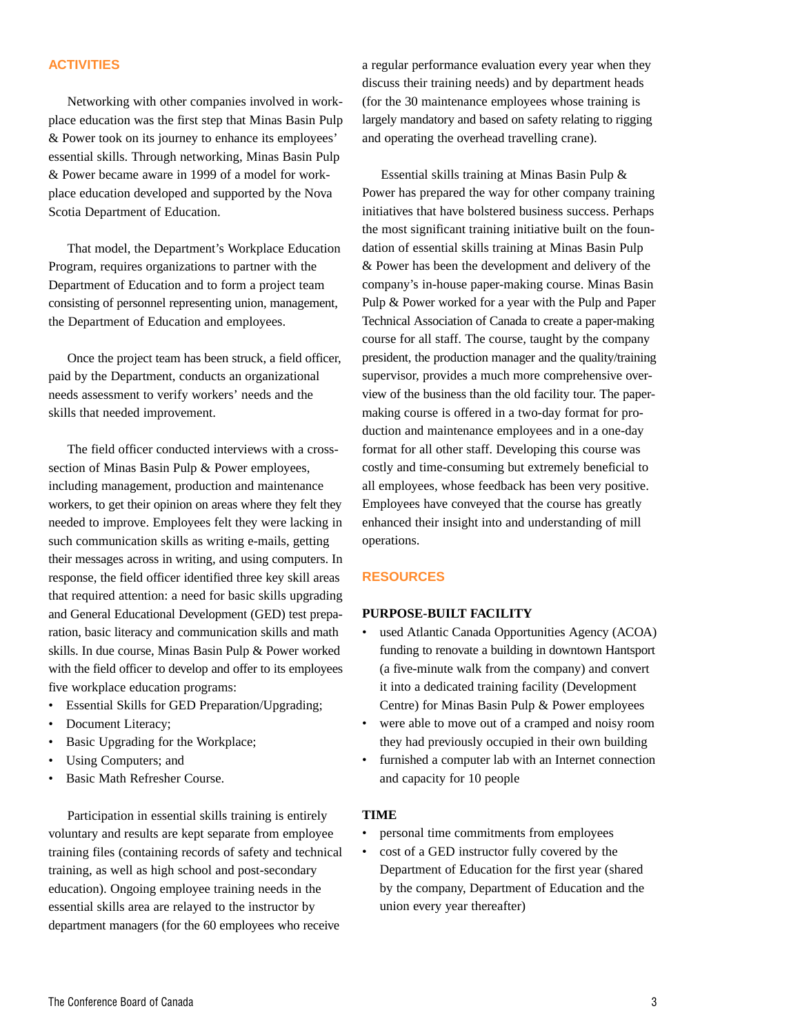#### **ACTIVITIES**

Networking with other companies involved in workplace education was the first step that Minas Basin Pulp & Power took on its journey to enhance its employees' essential skills. Through networking, Minas Basin Pulp & Power became aware in 1999 of a model for workplace education developed and supported by the Nova Scotia Department of Education.

That model, the Department's Workplace Education Program, requires organizations to partner with the Department of Education and to form a project team consisting of personnel representing union, management, the Department of Education and employees.

Once the project team has been struck, a field officer, paid by the Department, conducts an organizational needs assessment to verify workers' needs and the skills that needed improvement.

The field officer conducted interviews with a crosssection of Minas Basin Pulp & Power employees, including management, production and maintenance workers, to get their opinion on areas where they felt they needed to improve. Employees felt they were lacking in such communication skills as writing e-mails, getting their messages across in writing, and using computers. In response, the field officer identified three key skill areas that required attention: a need for basic skills upgrading and General Educational Development (GED) test preparation, basic literacy and communication skills and math skills. In due course, Minas Basin Pulp & Power worked with the field officer to develop and offer to its employees five workplace education programs:

- Essential Skills for GED Preparation/Upgrading;
- Document Literacy;
- Basic Upgrading for the Workplace;
- Using Computers; and
- Basic Math Refresher Course.

Participation in essential skills training is entirely voluntary and results are kept separate from employee training files (containing records of safety and technical training, as well as high school and post-secondary education). Ongoing employee training needs in the essential skills area are relayed to the instructor by department managers (for the 60 employees who receive

a regular performance evaluation every year when they discuss their training needs) and by department heads (for the 30 maintenance employees whose training is largely mandatory and based on safety relating to rigging and operating the overhead travelling crane).

Essential skills training at Minas Basin Pulp & Power has prepared the way for other company training initiatives that have bolstered business success. Perhaps the most significant training initiative built on the foundation of essential skills training at Minas Basin Pulp & Power has been the development and delivery of the company's in-house paper-making course. Minas Basin Pulp & Power worked for a year with the Pulp and Paper Technical Association of Canada to create a paper-making course for all staff. The course, taught by the company president, the production manager and the quality/training supervisor, provides a much more comprehensive overview of the business than the old facility tour. The papermaking course is offered in a two-day format for production and maintenance employees and in a one-day format for all other staff. Developing this course was costly and time-consuming but extremely beneficial to all employees, whose feedback has been very positive. Employees have conveyed that the course has greatly enhanced their insight into and understanding of mill operations.

#### **RESOURCES**

#### **PURPOSE-BUILT FACILITY**

- used Atlantic Canada Opportunities Agency (ACOA) funding to renovate a building in downtown Hantsport (a five-minute walk from the company) and convert it into a dedicated training facility (Development Centre) for Minas Basin Pulp & Power employees
- were able to move out of a cramped and noisy room they had previously occupied in their own building
- furnished a computer lab with an Internet connection and capacity for 10 people

#### **TIME**

- personal time commitments from employees
- cost of a GED instructor fully covered by the Department of Education for the first year (shared by the company, Department of Education and the union every year thereafter)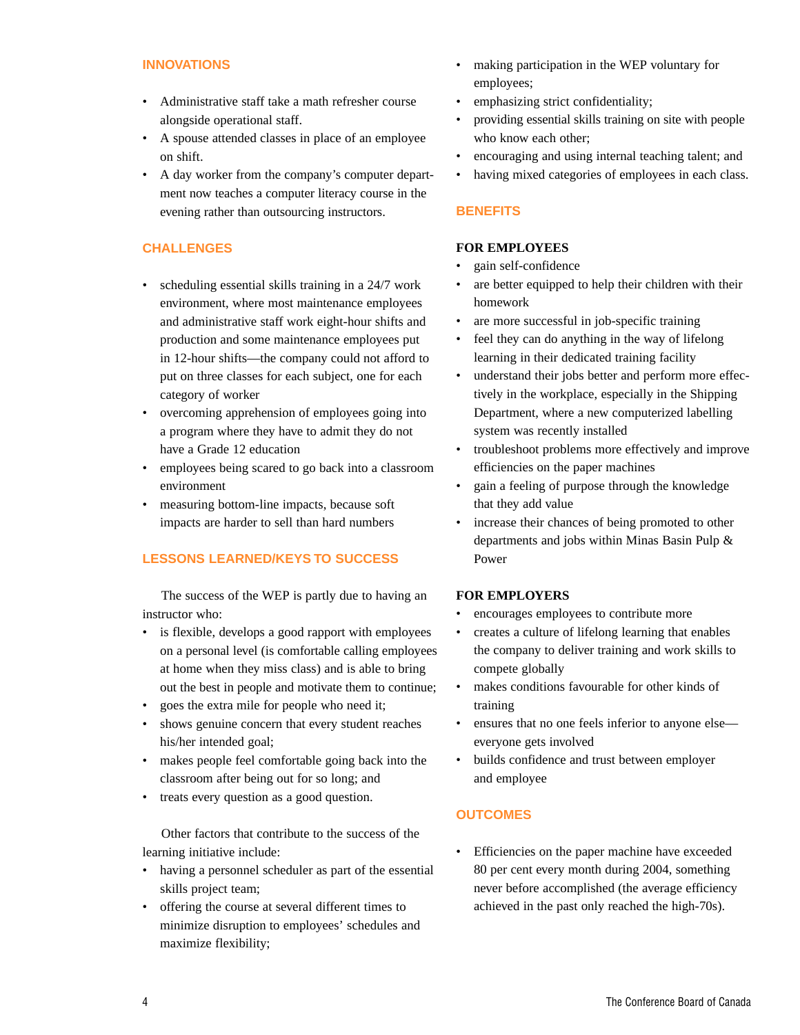#### **INNOVATIONS**

- Administrative staff take a math refresher course alongside operational staff.
- A spouse attended classes in place of an employee on shift.
- A day worker from the company's computer department now teaches a computer literacy course in the evening rather than outsourcing instructors.

#### **CHALLENGES**

- scheduling essential skills training in a 24/7 work environment, where most maintenance employees and administrative staff work eight-hour shifts and production and some maintenance employees put in 12-hour shifts—the company could not afford to put on three classes for each subject, one for each category of worker
- overcoming apprehension of employees going into a program where they have to admit they do not have a Grade 12 education
- employees being scared to go back into a classroom environment
- measuring bottom-line impacts, because soft impacts are harder to sell than hard numbers

#### **LESSONS LEARNED/KEYS TO SUCCESS**

The success of the WEP is partly due to having an instructor who:

- is flexible, develops a good rapport with employees on a personal level (is comfortable calling employees at home when they miss class) and is able to bring out the best in people and motivate them to continue;
- goes the extra mile for people who need it;
- shows genuine concern that every student reaches his/her intended goal;
- makes people feel comfortable going back into the classroom after being out for so long; and
- treats every question as a good question.

Other factors that contribute to the success of the learning initiative include:

- having a personnel scheduler as part of the essential skills project team;
- offering the course at several different times to minimize disruption to employees' schedules and maximize flexibility;
- making participation in the WEP voluntary for employees;
- emphasizing strict confidentiality;
- providing essential skills training on site with people who know each other;
- encouraging and using internal teaching talent; and
- having mixed categories of employees in each class.

#### **BENEFITS**

#### **FOR EMPLOYEES**

- gain self-confidence
- are better equipped to help their children with their homework
- are more successful in job-specific training
- feel they can do anything in the way of lifelong learning in their dedicated training facility
- understand their jobs better and perform more effectively in the workplace, especially in the Shipping Department, where a new computerized labelling system was recently installed
- troubleshoot problems more effectively and improve efficiencies on the paper machines
- gain a feeling of purpose through the knowledge that they add value
- increase their chances of being promoted to other departments and jobs within Minas Basin Pulp & Power

#### **FOR EMPLOYERS**

- encourages employees to contribute more
- creates a culture of lifelong learning that enables the company to deliver training and work skills to compete globally
- makes conditions favourable for other kinds of training
- ensures that no one feels inferior to anyone else everyone gets involved
- builds confidence and trust between employer and employee

#### **OUTCOMES**

• Efficiencies on the paper machine have exceeded 80 per cent every month during 2004, something never before accomplished (the average efficiency achieved in the past only reached the high-70s).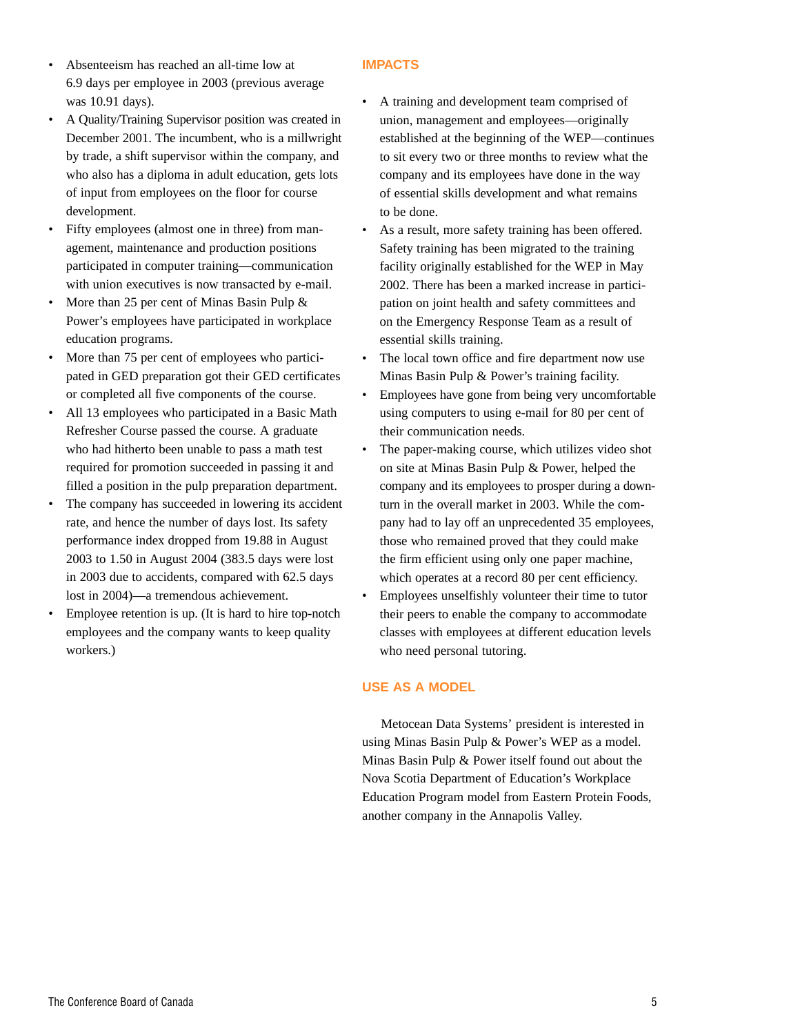- Absenteeism has reached an all-time low at 6.9 days per employee in 2003 (previous average was 10.91 days).
- A Quality/Training Supervisor position was created in December 2001. The incumbent, who is a millwright by trade, a shift supervisor within the company, and who also has a diploma in adult education, gets lots of input from employees on the floor for course development.
- Fifty employees (almost one in three) from management, maintenance and production positions participated in computer training—communication with union executives is now transacted by e-mail.
- More than 25 per cent of Minas Basin Pulp & Power's employees have participated in workplace education programs.
- More than 75 per cent of employees who participated in GED preparation got their GED certificates or completed all five components of the course.
- All 13 employees who participated in a Basic Math Refresher Course passed the course. A graduate who had hitherto been unable to pass a math test required for promotion succeeded in passing it and filled a position in the pulp preparation department.
- The company has succeeded in lowering its accident rate, and hence the number of days lost. Its safety performance index dropped from 19.88 in August 2003 to 1.50 in August 2004 (383.5 days were lost in 2003 due to accidents, compared with 62.5 days lost in 2004)—a tremendous achievement.
- Employee retention is up. (It is hard to hire top-notch employees and the company wants to keep quality workers.)

#### **IMPACTS**

- A training and development team comprised of union, management and employees—originally established at the beginning of the WEP—continues to sit every two or three months to review what the company and its employees have done in the way of essential skills development and what remains to be done.
- As a result, more safety training has been offered. Safety training has been migrated to the training facility originally established for the WEP in May 2002. There has been a marked increase in participation on joint health and safety committees and on the Emergency Response Team as a result of essential skills training.
- The local town office and fire department now use Minas Basin Pulp & Power's training facility.
- Employees have gone from being very uncomfortable using computers to using e-mail for 80 per cent of their communication needs.
- The paper-making course, which utilizes video shot on site at Minas Basin Pulp & Power, helped the company and its employees to prosper during a downturn in the overall market in 2003. While the company had to lay off an unprecedented 35 employees, those who remained proved that they could make the firm efficient using only one paper machine, which operates at a record 80 per cent efficiency.
- Employees unselfishly volunteer their time to tutor their peers to enable the company to accommodate classes with employees at different education levels who need personal tutoring.

#### **USE AS A MODEL**

Metocean Data Systems' president is interested in using Minas Basin Pulp & Power's WEP as a model. Minas Basin Pulp & Power itself found out about the Nova Scotia Department of Education's Workplace Education Program model from Eastern Protein Foods, another company in the Annapolis Valley.